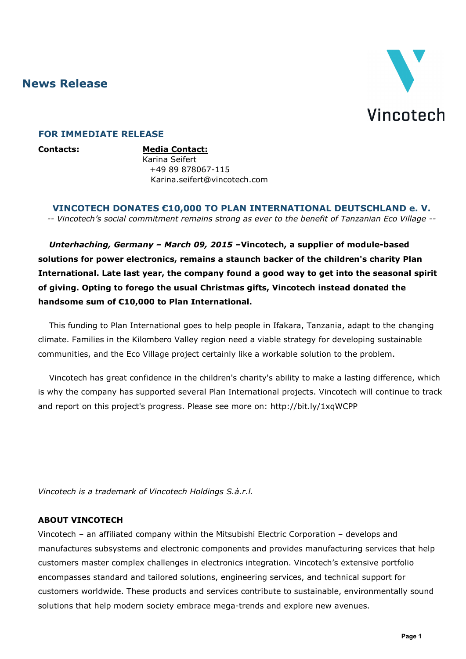**News Release**



## **FOR IMMEDIATE RELEASE**

**Contacts: Media Contact:** Karina Seifert +49 89 878067-115 Karina.seifert@vincotech.com

**VINCOTECH DONATES €10,000 TO PLAN INTERNATIONAL DEUTSCHLAND e. V.** *-- Vincotech's social commitment remains strong as ever to the benefit of Tanzanian Eco Village --*

*Unterhaching, Germany – March 09, 2015* **–Vincotech, a supplier of module-based solutions for power electronics, remains a staunch backer of the children's charity Plan International. Late last year, the company found a good way to get into the seasonal spirit of giving. Opting to forego the usual Christmas gifts, Vincotech instead donated the handsome sum of €10,000 to Plan International.**

This funding to Plan International goes to help people in Ifakara, Tanzania, adapt to the changing climate. Families in the Kilombero Valley region need a viable strategy for developing sustainable communities, and the Eco Village project certainly like a workable solution to the problem.

Vincotech has great confidence in the children's charity's ability to make a lasting difference, which is why the company has supported several Plan International projects. Vincotech will continue to track and report on this project's progress. Please see more on:<http://bit.ly/1xqWCPP>

*Vincotech is a trademark of Vincotech Holdings S.à.r.l.*

## **ABOUT VINCOTECH**

Vincotech – an affiliated company within the Mitsubishi Electric Corporation – develops and manufactures subsystems and electronic components and provides manufacturing services that help customers master complex challenges in electronics integration. Vincotech's extensive portfolio encompasses standard and tailored solutions, engineering services, and technical support for customers worldwide. These products and services contribute to sustainable, environmentally sound solutions that help modern society embrace mega-trends and explore new avenues.